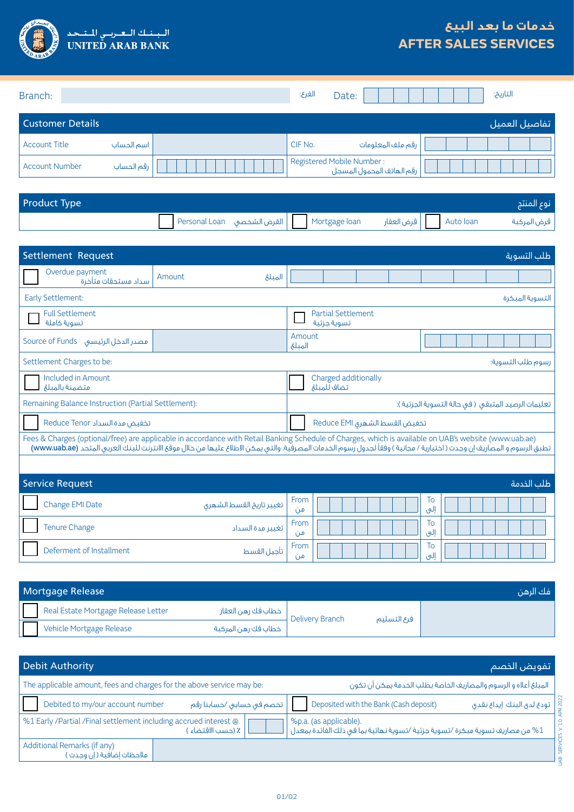

## **خدمات ما بعد البيع AFTER SALES SERVICES**

| Branch:                 |            | الفرع:                                                 | Date: |                   |  |  | التاريخ: |                |
|-------------------------|------------|--------------------------------------------------------|-------|-------------------|--|--|----------|----------------|
| <b>Customer Details</b> |            |                                                        |       |                   |  |  |          | _تفاصيل العميل |
| <b>Account Title</b>    | اسم الحساب | CIF No.                                                |       | رقم ملف المعلومات |  |  |          |                |
| <b>Account Number</b>   | رقم الحساب | Registered Mobile Number:<br>رقم الهاتف المحمول المسجل |       |                   |  |  |          |                |

| <b>Product Type</b> |  |  |  | نوع المنتج          |
|---------------------|--|--|--|---------------------|
|                     |  |  |  | قرض المركبة $\Big $ |

| Settlement Request                                                                                                                                                                                                                                                                                                               |                          |                                                    |                                          |  |  |           |  |  | طلب التسوية       |
|----------------------------------------------------------------------------------------------------------------------------------------------------------------------------------------------------------------------------------------------------------------------------------------------------------------------------------|--------------------------|----------------------------------------------------|------------------------------------------|--|--|-----------|--|--|-------------------|
| Overdue payment<br>سداد مستحقات متأخرة                                                                                                                                                                                                                                                                                           | Amount<br>الميلغ         |                                                    |                                          |  |  |           |  |  |                   |
| Early Settlement:                                                                                                                                                                                                                                                                                                                |                          |                                                    |                                          |  |  |           |  |  | التسوية المبكرة   |
| <b>Full Settlement</b><br>تسوية كاملة                                                                                                                                                                                                                                                                                            |                          |                                                    | <b>Partial Settlement</b><br>تسوية حزئية |  |  |           |  |  |                   |
| مصدر الدخل الرئيسي Source of Funds                                                                                                                                                                                                                                                                                               |                          | Amount<br>المبلغ                                   |                                          |  |  |           |  |  |                   |
| Settlement Charges to be:                                                                                                                                                                                                                                                                                                        |                          |                                                    |                                          |  |  |           |  |  | رسوم طلب التسوية: |
| Included in Amount<br>متضمنة بالمبلغ                                                                                                                                                                                                                                                                                             |                          |                                                    | Charged additionally<br>تضاف للميلغ      |  |  |           |  |  |                   |
| Remaining Balance Instruction (Partial Settlement):                                                                                                                                                                                                                                                                              |                          | تعليمات الرصيد المتبقى (في حالة التسوية الجزئية ): |                                          |  |  |           |  |  |                   |
| تخفيض مدة السداد Reduce Tenor                                                                                                                                                                                                                                                                                                    |                          |                                                    | تخفيض القسط الشهرى Reduce EMI            |  |  |           |  |  |                   |
| Fees & Charges (optional/free) are applicable in accordance with Retail Banking Schedule of Charges, which is available on UAB's website (www.uab.ae)<br>تطبق الرسوم و المصاريف إن وجدت ( اختيارية / مجانية ) وفقاً لجدول رسوم الخدمات المصرفية، والتي يمكن الاطلاع عليها من خلال موقع الانترنت للبنك العربي المتحد (www.uab.ae) |                          |                                                    |                                          |  |  |           |  |  |                   |
|                                                                                                                                                                                                                                                                                                                                  |                          |                                                    |                                          |  |  |           |  |  |                   |
| <b>Service Request</b>                                                                                                                                                                                                                                                                                                           |                          |                                                    |                                          |  |  |           |  |  | طلب الخدمة        |
| Change EMI Date                                                                                                                                                                                                                                                                                                                  | تغيير تاريخ القسط الشهرى | From<br>من                                         |                                          |  |  | To<br>إلى |  |  |                   |
| <b>Tenure Change</b>                                                                                                                                                                                                                                                                                                             | تغيير مدة السداد         | From<br>من                                         |                                          |  |  | To<br>إلى |  |  |                   |
| Deferment of Installment                                                                                                                                                                                                                                                                                                         | تأجيل القسط              | From<br>من                                         |                                          |  |  | To<br>إلى |  |  |                   |
|                                                                                                                                                                                                                                                                                                                                  |                          |                                                    |                                          |  |  |           |  |  |                   |

| Mortgage Release                    |                     |                 |             | - فك الرهن |
|-------------------------------------|---------------------|-----------------|-------------|------------|
| Real Estate Mortgage Release Letter | خطاب فك رهن العقار  | Delivery Branch | فرع التسليم |            |
| Vehicle Mortgage Release            | خطاب فك رهن المركبة |                 |             |            |

| <b>Debit Authority</b>                                                |                           | اتفويض الخصم                                                                                                 |  |  |  |  |  |
|-----------------------------------------------------------------------|---------------------------|--------------------------------------------------------------------------------------------------------------|--|--|--|--|--|
| The applicable amount, fees and charges for the above service may be: |                           | المبلغ أعلاه و الرسوم والمصاريف الخاصة بطلب الخدمة يمكن أن تكون                                              |  |  |  |  |  |
| Debited to my/our account number                                      | تخصم فى حسابى /حسابنا رقم | Deposited with the Bank (Cash deposit)<br>تودع لدق البنك إيداع نقدق                                          |  |  |  |  |  |
| %1 Early /Partial /Final settlement including accrued interest @      | ٪ (حسب الاقتضاء )         | %p.a. (as applicable).<br>من مصاريف تسوية مبكرة /تسوية جزئية /تسوية نهائية بما في ذلك الفائدة بمعدل $\sim 1$ |  |  |  |  |  |
| Additional Remarks (if any)<br>ملاحظات إضافية ( إن وجدت )             |                           |                                                                                                              |  |  |  |  |  |